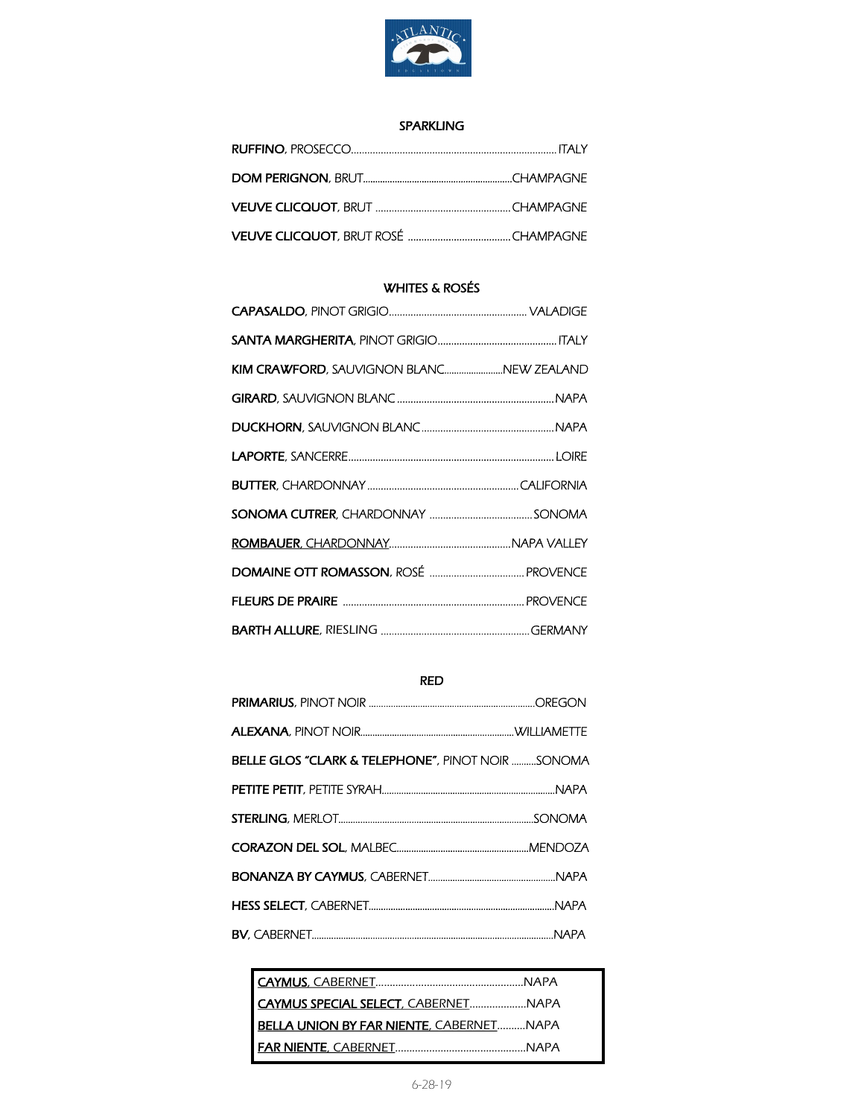

#### SPARKLING

# WHITES & ROSÉS

| KIM CRAWFORD, SAUVIGNON BLANCNEW ZEALAND |  |
|------------------------------------------|--|
|                                          |  |
|                                          |  |
|                                          |  |
|                                          |  |
|                                          |  |
|                                          |  |
|                                          |  |
|                                          |  |
|                                          |  |

# RED

| <b>BELLE GLOS "CLARK &amp; TELEPHONE", PINOT NOIR SONOMA</b> |  |
|--------------------------------------------------------------|--|
|                                                              |  |
|                                                              |  |
|                                                              |  |
|                                                              |  |
|                                                              |  |
|                                                              |  |

| CAYMUS SPECIAL SELECT, CABERNETNAPA            |  |
|------------------------------------------------|--|
| <b>BELLA UNION BY FAR NIENTE, CABERNETNAPA</b> |  |
|                                                |  |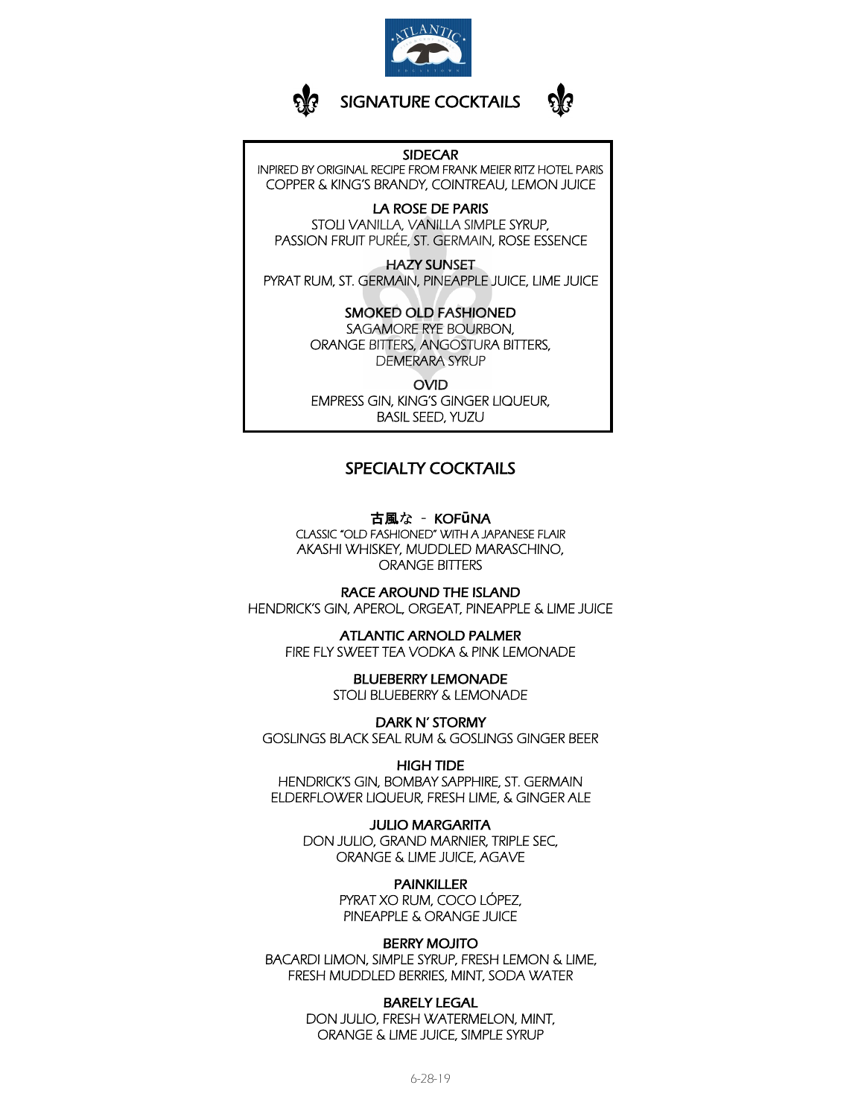



#### **SIDECAR**

INPIRED BY ORIGINAL RECIPE FROM FRANK MEIER RITZ HOTEL PARIS COPPER & KING'S BRANDY, COINTREAU, LEMON JUICE

LA ROSE DE PARIS STOLI VANILLA, VANILLA SIMPLE SYRUP, PASSION FRUIT PURÉE, ST. GERMAIN, ROSE ESSENCE

**HAZY SUNSET** PYRAT RUM, ST. GERMAIN, PINEAPPLE JUICE, LIME JUICE

#### **SMOKED OLD FASHIONED**

SAGAMORE RYE BOURBON, ORANGE BITTERS, ANGOSTURA BITTERS, DEMERARA SYRUP

**OVID** EMPRESS GIN, KING'S GINGER LIQUEUR, **BASIL SEED, YUZU** 

#### **SPECIALTY COCKTAILS**

古風な - KOFūNA CLASSIC "OLD FASHIONED" WITH A JAPANESE FLAIR AKASHI WHISKEY, MUDDLED MARASCHINO, **ORANGE BITTERS** 

**RACE AROUND THE ISLAND** HENDRICK'S GIN, APEROL, ORGEAT, PINEAPPLE & LIME JUICE

**ATLANTIC ARNOLD PALMER** FIRE FLY SWEET TEA VODKA & PINK LEMONADE

> **BLUEBERRY LEMONADE** STOLI BLUEBERRY & LEMONADE

**DARK N' STORMY** GOSLINGS BLACK SEAL RUM & GOSLINGS GINGER BEER

**HIGH TIDE** HENDRICK'S GIN, BOMBAY SAPPHIRE, ST. GERMAIN ELDERFLOWER LIQUEUR, FRESH LIME, & GINGER ALE

**JULIO MARGARITA** DON JULIO, GRAND MARNIER, TRIPLE SEC, ORANGE & LIME JUICE, AGAVE

> **PAINKILLER** PYRAT XO RUM, COCO LÓPEZ,

> PINEAPPLE & ORANGE JUICE

**BERRY MOJITO** BACARDI LIMON, SIMPLE SYRUP, FRESH LEMON & LIME, FRESH MUDDLED BERRIES, MINT, SODA WATER

> **BARELY LEGAL** DON JULIO, FRESH WATERMELON, MINT, ORANGE & LIME JUICE, SIMPLE SYRUP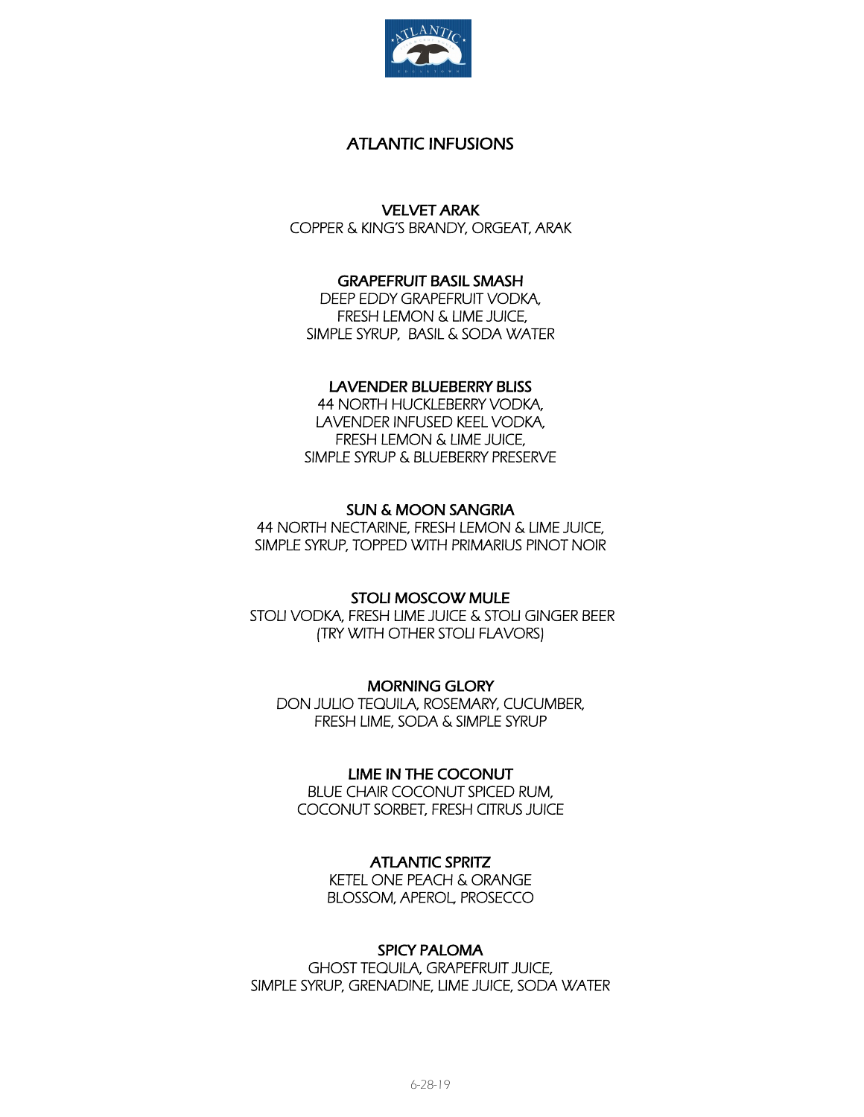

# ATLANTIC INFUSIONS

VELVET ARAK

COPPER & KING'S BRANDY, ORGEAT, ARAK

# GRAPEFRUIT BASIL SMASH

DEEP EDDY GRAPEFRUIT VODKA, FRESH LEMON & LIME JUICE, SIMPLE SYRUP, BASIL & SODA WATER

### LAVENDER BLUEBERRY BLISS

44 NORTH HUCKLEBERRY VODKA, LAVENDER INFUSED KEEL VODKA, FRESH LEMON & LIME JUICE, SIMPLE SYRUP & BLUEBERRY PRESERVE

# SUN & MOON SANGRIA

44 NORTH NECTARINE, FRESH LEMON & LIME JUICE, SIMPLE SYRUP, TOPPED WITH PRIMARIUS PINOT NOIR

STOLI MOSCOW MULE STOLI VODKA, FRESH LIME JUICE & STOLI GINGER BEER (TRY WITH OTHER STOLI FLAVORS)

MORNING GLORY DON JULIO TEQUILA, ROSEMARY, CUCUMBER, FRESH LIME, SODA & SIMPLE SYRUP

LIME IN THE COCONUT BLUE CHAIR COCONUT SPICED RUM, COCONUT SORBET, FRESH CITRUS JUICE

### ATLANTIC SPRITZ

KETEL ONE PEACH & ORANGE BLOSSOM, APEROL, PROSECCO

### SPICY PALOMA

GHOST TEQUILA, GRAPEFRUIT JUICE, SIMPLE SYRUP, GRENADINE, LIME JUICE, SODA WATER